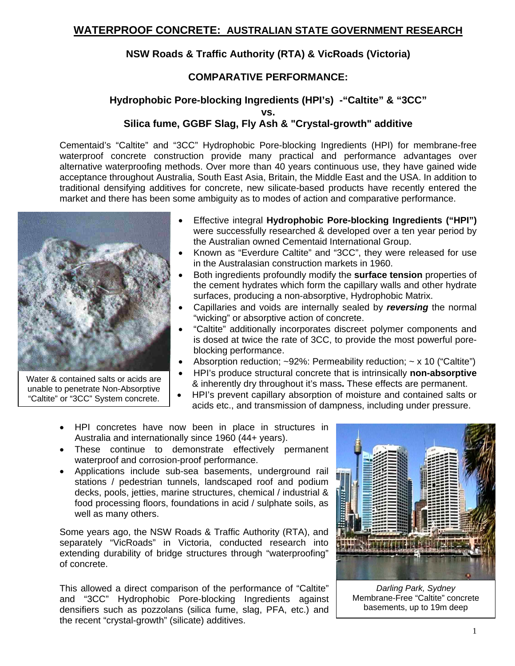## **NSW Roads & Traffic Authority (RTA) & VicRoads (Victoria)**

## **COMPARATIVE PERFORMANCE:**

## **Hydrophobic Pore-blocking Ingredients (HPI's) -"Caltite" & "3CC" vs. Silica fume, GGBF Slag, Fly Ash & "Crystal-growth" additive**

Cementaid's "Caltite" and "3CC" Hydrophobic Pore-blocking Ingredients (HPI) for membrane-free waterproof concrete construction provide many practical and performance advantages over alternative waterproofing methods. Over more than 40 years continuous use, they have gained wide acceptance throughout Australia, South East Asia, Britain, the Middle East and the USA. In addition to traditional densifying additives for concrete, new silicate-based products have recently entered the market and there has been some ambiguity as to modes of action and comparative performance.



Water & contained salts or acids are unable to penetrate Non-Absorptive "Caltite" or "3CC" System concrete.

- Effective integral **Hydrophobic Pore-blocking Ingredients ("HPI")** were successfully researched & developed over a ten year period by the Australian owned Cementaid International Group.
- Known as "Everdure Caltite" and "3CC", they were released for use in the Australasian construction markets in 1960.
- Both ingredients profoundly modify the **surface tension** properties of the cement hydrates which form the capillary walls and other hydrate surfaces, producing a non-absorptive, Hydrophobic Matrix.
- Capillaries and voids are internally sealed by *reversing* the normal "wicking" or absorptive action of concrete.
- "Caltite" additionally incorporates discreet polymer components and is dosed at twice the rate of 3CC, to provide the most powerful poreblocking performance.
- Absorption reduction;  $\sim$ 92%: Permeability reduction;  $\sim$  x 10 ("Caltite")
- HPI's produce structural concrete that is intrinsically **non-absorptive** & inherently dry throughout it's mass**.** These effects are permanent.
- HPI's prevent capillary absorption of moisture and contained salts or acids etc., and transmission of dampness, including under pressure.
- HPI concretes have now been in place in structures in Australia and internationally since 1960 (44+ years).
- These continue to demonstrate effectively permanent waterproof and corrosion-proof performance.
- Applications include sub-sea basements, underground rail stations / pedestrian tunnels, landscaped roof and podium decks, pools, jetties, marine structures, chemical / industrial & food processing floors, foundations in acid / sulphate soils, as well as many others.

Some years ago, the NSW Roads & Traffic Authority (RTA), and separately "VicRoads" in Victoria, conducted research into extending durability of bridge structures through "waterproofing" of concrete.

This allowed a direct comparison of the performance of "Caltite" and "3CC" Hydrophobic Pore-blocking Ingredients against densifiers such as pozzolans (silica fume, slag, PFA, etc.) and the recent "crystal-growth" (silicate) additives.



*Darling Park, Sydney*  Membrane-Free "Caltite" concrete basements, up to 19m deep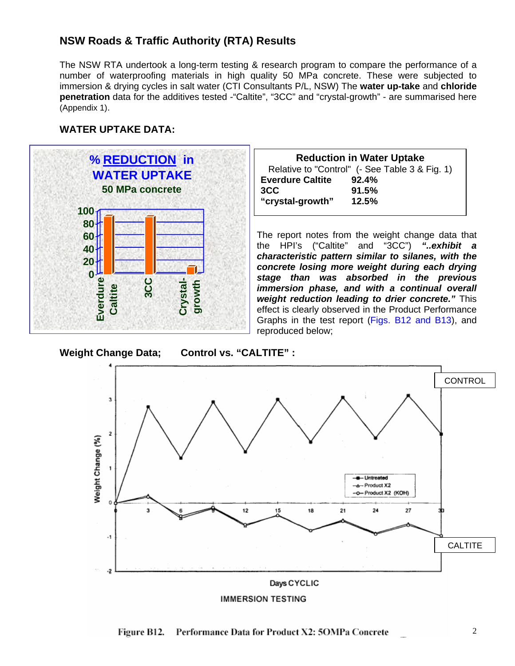## **NSW Roads & Traffic Authority (RTA) Results**

The NSW RTA undertook a long-term testing & research program to compare the performance of a number of waterproofing materials in high quality 50 MPa concrete. These were subjected to immersion & drying cycles in salt water (CTI Consultants P/L, NSW) The **water up-take** and **chloride penetration** data for the additives tested -"Caltite", "3CC" and "crystal-growth" - are summarised here (Appendix 1).

#### **WATER UPTAKE DATA:**



| <b>Reduction in Water Uptake</b> |                                                |  |  |  |
|----------------------------------|------------------------------------------------|--|--|--|
|                                  | Relative to "Control" (- See Table 3 & Fig. 1) |  |  |  |
| <b>Everdure Caltite</b>          | 92.4%                                          |  |  |  |
| 3CC                              | 91.5%                                          |  |  |  |
| "crystal-growth"                 | 12.5%                                          |  |  |  |

The report notes from the weight change data that the HPI's ("Caltite" and "3CC") *"..exhibit a characteristic pattern similar to silanes, with the concrete losing more weight during each drying stage than was absorbed in the previous immersion phase, and with a continual overall weight reduction leading to drier concrete."* This effect is clearly observed in the Product Performance Graphs in the test report (Figs. B12 and B13), and reproduced below;





2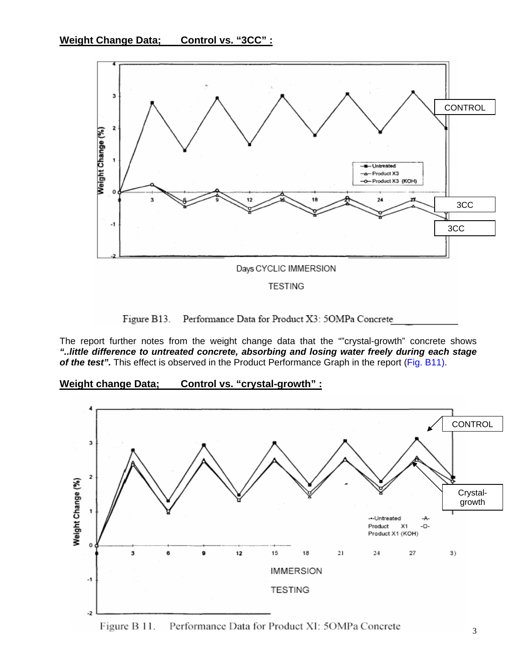

Figure B13. Performance Data for Product X3: 5OMPa Concrete

The report further notes from the weight change data that the ""crystal-growth" concrete shows *"..little difference to untreated concrete, absorbing and losing water freely during each stage of the test".* This effect is observed in the Product Performance Graph in the report (Fig. B11).

**Weight change Data; Control vs. "crystal-growth" :**

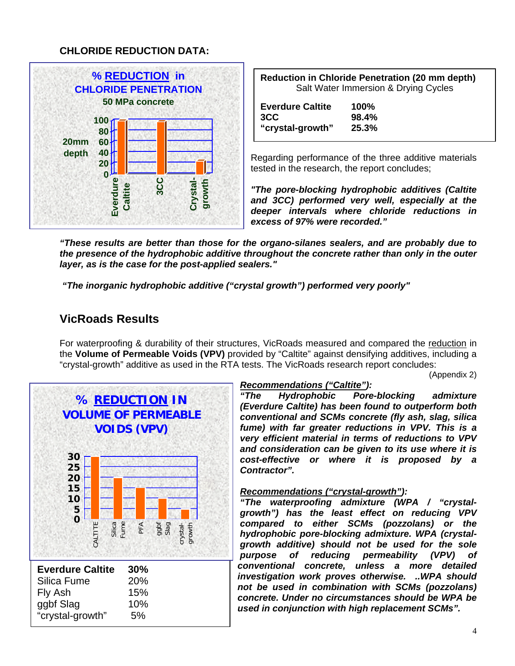## **CHLORIDE REDUCTION DATA:**



| <b>Reduction in Chloride Penetration (20 mm depth)</b> |
|--------------------------------------------------------|
| Salt Water Immersion & Drying Cycles                   |

| <b>Everdure Caltite</b> | 100%  |
|-------------------------|-------|
| 3CC                     | 98.4% |
| "crystal-growth"        | 25.3% |

Regarding performance of the three additive materials tested in the research, the report concludes;

*"The pore-blocking hydrophobic additives (Caltite and 3CC) performed very well, especially at the deeper intervals where chloride reductions in excess of 97% were recorded."* 

*"These results are better than those for the organo-silanes sealers, and are probably due to the presence of the hydrophobic additive throughout the concrete rather than only in the outer layer, as is the case for the post-applied sealers."* 

 *"The inorganic hydrophobic additive ("crystal growth") performed very poorly"* 

# **VicRoads Results**

For waterproofing & durability of their structures, VicRoads measured and compared the reduction in the **Volume of Permeable Voids (VPV)** provided by "Caltite" against densifying additives, including a "crystal-growth" additive as used in the RTA tests. The VicRoads research report concludes:

(Appendix 2)



## *Recommendations ("Caltite"):*

*"The Hydrophobic Pore-blocking admixture (Everdure Caltite) has been found to outperform both conventional and SCMs concrete (fly ash, slag, silica fume) with far greater reductions in VPV. This is a very efficient material in terms of reductions to VPV and consideration can be given to its use where it is cost-effective or where it is proposed by a Contractor".* 

### *Recommendations ("crystal-growth"):*

*"The waterproofing admixture (WPA / "crystalgrowth") has the least effect on reducing VPV compared to either SCMs (pozzolans) or the hydrophobic pore-blocking admixture. WPA (crystalgrowth additive) should not be used for the sole purpose of reducing permeability (VPV) of conventional concrete, unless a more detailed investigation work proves otherwise. ..WPA should not be used in combination with SCMs (pozzolans) concrete. Under no circumstances should be WPA be used in conjunction with high replacement SCMs".*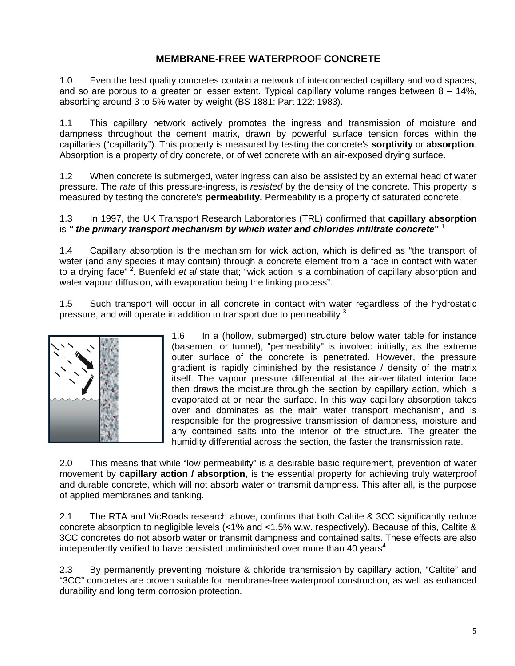## **MEMBRANE-FREE WATERPROOF CONCRETE**

1.0 Even the best quality concretes contain a network of interconnected capillary and void spaces, and so are porous to a greater or lesser extent. Typical capillary volume ranges between 8 – 14%, absorbing around 3 to 5% water by weight (BS 1881: Part 122: 1983).

1.1 This capillary network actively promotes the ingress and transmission of moisture and dampness throughout the cement matrix, drawn by powerful surface tension forces within the capillaries ("capillarity"). This property is measured by testing the concrete's **sorptivity** or **absorption**. Absorption is a property of dry concrete, or of wet concrete with an air-exposed drying surface.

1.2 When concrete is submerged, water ingress can also be assisted by an external head of water pressure. The *rate* of this pressure-ingress, is *resisted* by the density of the concrete. This property is measured by testing the concrete's **permeability.** Permeability is a property of saturated concrete.

#### 1.3 In 1997, the UK Transport Research Laboratories (TRL) confirmed that **capillary absorption** is *" the primary transport mechanism by which water and chlorides infiltrate concrete***"** <sup>1</sup>

1.4 Capillary absorption is the mechanism for wick action, which is defined as "the transport of water (and any species it may contain) through a concrete element from a face in contact with water to a drying face" 2. Buenfeld *et al* state that; "wick action is a combination of capillary absorption and water vapour diffusion, with evaporation being the linking process".

1.5 Such transport will occur in all concrete in contact with water regardless of the hydrostatic pressure, and will operate in addition to transport due to permeability  $3$ 



1.6 In a (hollow, submerged) structure below water table for instance (basement or tunnel), "permeability" is involved initially, as the extreme outer surface of the concrete is penetrated. However, the pressure gradient is rapidly diminished by the resistance / density of the matrix itself. The vapour pressure differential at the air-ventilated interior face then draws the moisture through the section by capillary action, which is evaporated at or near the surface. In this way capillary absorption takes over and dominates as the main water transport mechanism, and is responsible for the progressive transmission of dampness, moisture and any contained salts into the interior of the structure. The greater the humidity differential across the section, the faster the transmission rate.

2.0 This means that while "low permeability" is a desirable basic requirement, prevention of water movement by **capillary action / absorption**, is the essential property for achieving truly waterproof and durable concrete, which will not absorb water or transmit dampness. This after all, is the purpose of applied membranes and tanking.

2.1 The RTA and VicRoads research above, confirms that both Caltite & 3CC significantly reduce concrete absorption to negligible levels (<1% and <1.5% w.w. respectively). Because of this, Caltite & 3CC concretes do not absorb water or transmit dampness and contained salts. These effects are also independently verified to have persisted undiminished over more than 40 years<sup>4</sup>

2.3 By permanently preventing moisture & chloride transmission by capillary action, "Caltite" and "3CC" concretes are proven suitable for membrane-free waterproof construction, as well as enhanced durability and long term corrosion protection.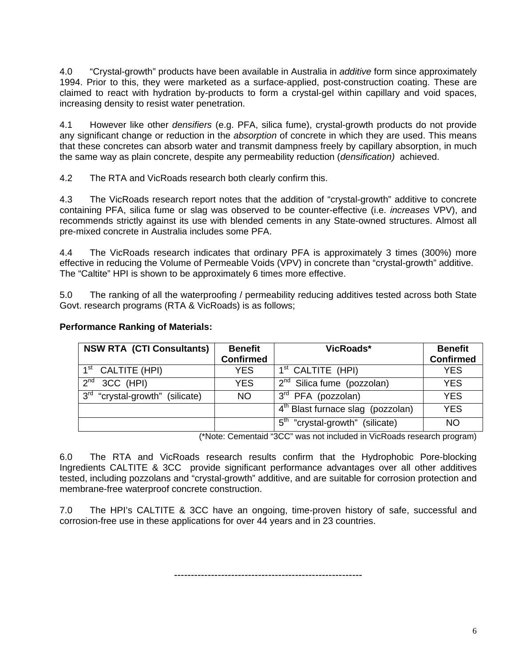4.0 "Crystal-growth" products have been available in Australia in *additive* form since approximately 1994. Prior to this, they were marketed as a surface-applied, post-construction coating. These are claimed to react with hydration by-products to form a crystal-gel within capillary and void spaces, increasing density to resist water penetration.

4.1 However like other *densifiers* (e.g. PFA, silica fume), crystal-growth products do not provide any significant change or reduction in the *absorption* of concrete in which they are used. This means that these concretes can absorb water and transmit dampness freely by capillary absorption, in much the same way as plain concrete, despite any permeability reduction (*densification)* achieved.

4.2 The RTA and VicRoads research both clearly confirm this.

4.3 The VicRoads research report notes that the addition of "crystal-growth" additive to concrete containing PFA, silica fume or slag was observed to be counter-effective (i.e. *increases* VPV), and recommends strictly against its use with blended cements in any State-owned structures. Almost all pre-mixed concrete in Australia includes some PFA.

4.4 The VicRoads research indicates that ordinary PFA is approximately 3 times (300%) more effective in reducing the Volume of Permeable Voids (VPV) in concrete than "crystal-growth" additive. The "Caltite" HPI is shown to be approximately 6 times more effective.

5.0 The ranking of all the waterproofing / permeability reducing additives tested across both State Govt. research programs (RTA & VicRoads) is as follows;

| <b>NSW RTA (CTI Consultants)</b>            | <b>Benefit</b>   | VicRoads*                                      | <b>Benefit</b>   |
|---------------------------------------------|------------------|------------------------------------------------|------------------|
|                                             | <b>Confirmed</b> |                                                | <b>Confirmed</b> |
| 1 <sup>st</sup><br>CALTITE (HPI)            | <b>YES</b>       | 1 <sup>st</sup> CALTITE (HPI)                  | <b>YES</b>       |
| $2^{nd}$<br>3CC (HPI)                       | <b>YES</b>       | $2^{nd}$ Silica fume (pozzolan)                | <b>YES</b>       |
| $\sqrt{3^{rd}}$ "crystal-growth" (silicate) | <b>NO</b>        | $3rd$ PFA (pozzolan)                           | <b>YES</b>       |
|                                             |                  | 4 <sup>th</sup> Blast furnace slag (pozzolan)  | <b>YES</b>       |
|                                             |                  | 5 <sup>th</sup><br>"crystal-growth" (silicate) | <b>NO</b>        |

#### **Performance Ranking of Materials:**

(\*Note: Cementaid "3CC" was not included in VicRoads research program)

6.0 The RTA and VicRoads research results confirm that the Hydrophobic Pore-blocking Ingredients CALTITE & 3CC provide significant performance advantages over all other additives tested, including pozzolans and "crystal-growth" additive, and are suitable for corrosion protection and membrane-free waterproof concrete construction.

7.0 The HPI's CALTITE & 3CC have an ongoing, time-proven history of safe, successful and corrosion-free use in these applications for over 44 years and in 23 countries.

--------------------------------------------------------